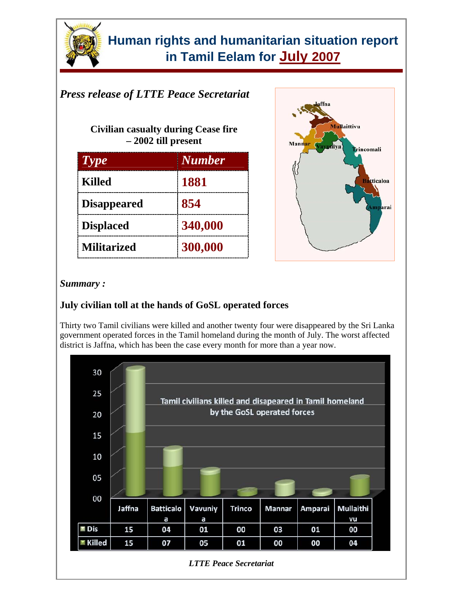

### *Press release of LTTE Peace Secretariat*

**Civilian casualty during Cease fire – 2002 till present** 

| $T$ $y$ $p$ $e$    | <b>Number</b> |
|--------------------|---------------|
| <b>Killed</b>      | 1881          |
| <b>Disappeared</b> | 854           |
| <b>Displaced</b>   | 340,000       |
| <b>Militarized</b> | 300,000       |



#### *Summary :*

### **July civilian toll at the hands of GoSL operated forces**

Thirty two Tamil civilians were killed and another twenty four were disappeared by the Sri Lanka government operated forces in the Tamil homeland during the month of July. The worst affected district is Jaffna, which has been the case every month for more than a year now.

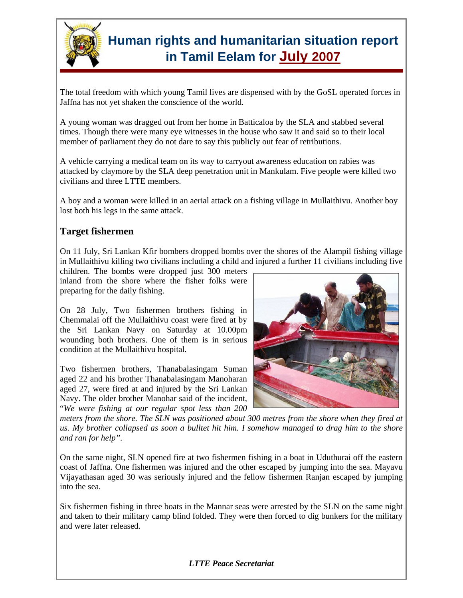

The total freedom with which young Tamil lives are dispensed with by the GoSL operated forces in Jaffna has not yet shaken the conscience of the world.

A young woman was dragged out from her home in Batticaloa by the SLA and stabbed several times. Though there were many eye witnesses in the house who saw it and said so to their local member of parliament they do not dare to say this publicly out fear of retributions.

A vehicle carrying a medical team on its way to carryout awareness education on rabies was attacked by claymore by the SLA deep penetration unit in Mankulam. Five people were killed two civilians and three LTTE members.

A boy and a woman were killed in an aerial attack on a fishing village in Mullaithivu. Another boy lost both his legs in the same attack.

#### **Target fishermen**

On 11 July, Sri Lankan Kfir bombers dropped bombs over the shores of the Alampil fishing village in Mullaithivu killing two civilians including a child and injured a further 11 civilians including five

children. The bombs were dropped just 300 meters inland from the shore where the fisher folks were preparing for the daily fishing.

On 28 July, Two fishermen brothers fishing in Chemmalai off the Mullaithivu coast were fired at by the Sri Lankan Navy on Saturday at 10.00pm wounding both brothers. One of them is in serious condition at the Mullaithivu hospital.

Two fishermen brothers, Thanabalasingam Suman aged 22 and his brother Thanabalasingam Manoharan aged 27, were fired at and injured by the Sri Lankan Navy. The older brother Manohar said of the incident, "*We were fishing at our regular spot less than 200* 



*meters from the shore. The SLN was positioned about 300 metres from the shore when they fired at us. My brother collapsed as soon a bulltet hit him. I somehow managed to drag him to the shore and ran for help".*

On the same night, SLN opened fire at two fishermen fishing in a boat in Uduthurai off the eastern coast of Jaffna. One fishermen was injured and the other escaped by jumping into the sea. Mayavu Vijayathasan aged 30 was seriously injured and the fellow fishermen Ranjan escaped by jumping into the sea.

Six fishermen fishing in three boats in the Mannar seas were arrested by the SLN on the same night and taken to their military camp blind folded. They were then forced to dig bunkers for the military and were later released.

*LTTE Peace Secretariat*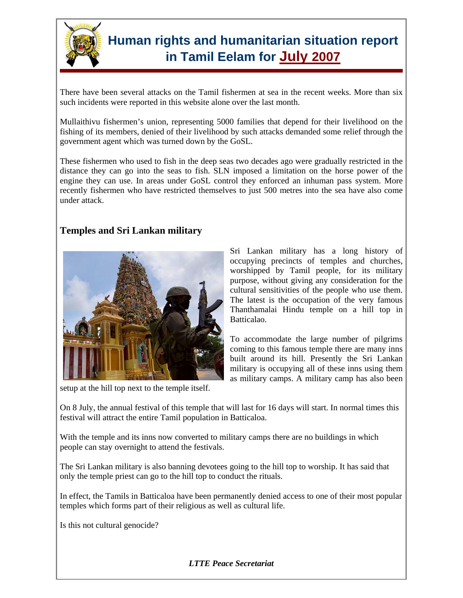

There have been several attacks on the Tamil fishermen at sea in the recent weeks. More than six such incidents were reported in this website alone over the last month.

Mullaithivu fishermen's union, representing 5000 families that depend for their livelihood on the fishing of its members, denied of their livelihood by such attacks demanded some relief through the government agent which was turned down by the GoSL.

These fishermen who used to fish in the deep seas two decades ago were gradually restricted in the distance they can go into the seas to fish. SLN imposed a limitation on the horse power of the engine they can use. In areas under GoSL control they enforced an inhuman pass system. More recently fishermen who have restricted themselves to just 500 metres into the sea have also come under attack.

#### **Temples and Sri Lankan military**



setup at the hill top next to the temple itself.

Sri Lankan military has a long history of occupying precincts of temples and churches, worshipped by Tamil people, for its military purpose, without giving any consideration for the cultural sensitivities of the people who use them. The latest is the occupation of the very famous Thanthamalai Hindu temple on a hill top in Batticalao.

To accommodate the large number of pilgrims coming to this famous temple there are many inns built around its hill. Presently the Sri Lankan military is occupying all of these inns using them as military camps. A military camp has also been

On 8 July, the annual festival of this temple that will last for 16 days will start. In normal times this festival will attract the entire Tamil population in Batticaloa.

With the temple and its inns now converted to military camps there are no buildings in which people can stay overnight to attend the festivals.

The Sri Lankan military is also banning devotees going to the hill top to worship. It has said that only the temple priest can go to the hill top to conduct the rituals.

In effect, the Tamils in Batticaloa have been permanently denied access to one of their most popular temples which forms part of their religious as well as cultural life.

Is this not cultural genocide?

*LTTE Peace Secretariat*